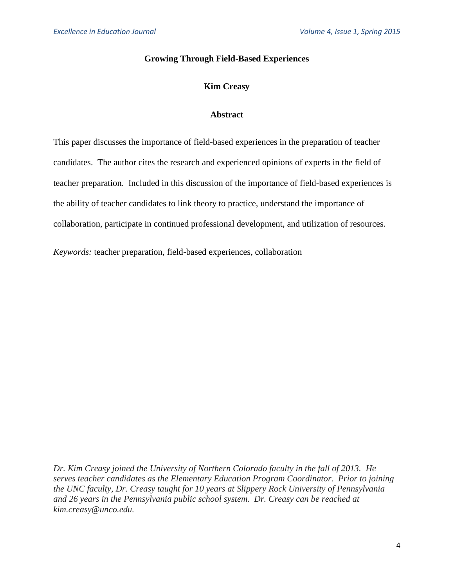## **Growing Through Field-Based Experiences**

# **Kim Creasy**

## **Abstract**

This paper discusses the importance of field-based experiences in the preparation of teacher candidates. The author cites the research and experienced opinions of experts in the field of teacher preparation. Included in this discussion of the importance of field-based experiences is the ability of teacher candidates to link theory to practice, understand the importance of collaboration, participate in continued professional development, and utilization of resources.

*Keywords:* teacher preparation, field-based experiences, collaboration

*Dr. Kim Creasy joined the University of Northern Colorado faculty in the fall of 2013. He serves teacher candidates as the Elementary Education Program Coordinator. Prior to joining the UNC faculty, Dr. Creasy taught for 10 years at Slippery Rock University of Pennsylvania and 26 years in the Pennsylvania public school system. Dr. Creasy can be reached at kim.creasy@unco.edu.*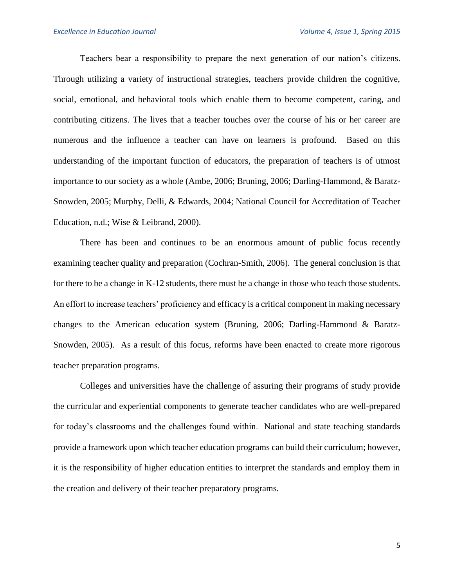Teachers bear a responsibility to prepare the next generation of our nation's citizens. Through utilizing a variety of instructional strategies, teachers provide children the cognitive, social, emotional, and behavioral tools which enable them to become competent, caring, and contributing citizens. The lives that a teacher touches over the course of his or her career are numerous and the influence a teacher can have on learners is profound. Based on this understanding of the important function of educators, the preparation of teachers is of utmost importance to our society as a whole (Ambe, 2006; Bruning, 2006; Darling-Hammond, & Baratz-Snowden, 2005; Murphy, Delli, & Edwards, 2004; National Council for Accreditation of Teacher Education, n.d.; Wise & Leibrand, 2000).

There has been and continues to be an enormous amount of public focus recently examining teacher quality and preparation (Cochran-Smith, 2006). The general conclusion is that for there to be a change in K-12 students, there must be a change in those who teach those students. An effort to increase teachers' proficiency and efficacy is a critical component in making necessary changes to the American education system (Bruning, 2006; Darling-Hammond & Baratz-Snowden, 2005). As a result of this focus, reforms have been enacted to create more rigorous teacher preparation programs.

Colleges and universities have the challenge of assuring their programs of study provide the curricular and experiential components to generate teacher candidates who are well-prepared for today's classrooms and the challenges found within. National and state teaching standards provide a framework upon which teacher education programs can build their curriculum; however, it is the responsibility of higher education entities to interpret the standards and employ them in the creation and delivery of their teacher preparatory programs.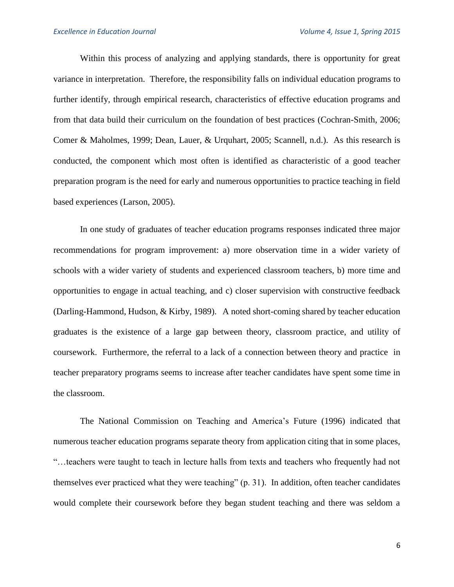Within this process of analyzing and applying standards, there is opportunity for great variance in interpretation. Therefore, the responsibility falls on individual education programs to further identify, through empirical research, characteristics of effective education programs and from that data build their curriculum on the foundation of best practices (Cochran-Smith, 2006; Comer & Maholmes, 1999; Dean, Lauer, & Urquhart, 2005; Scannell, n.d.). As this research is conducted, the component which most often is identified as characteristic of a good teacher preparation program is the need for early and numerous opportunities to practice teaching in field based experiences (Larson, 2005).

In one study of graduates of teacher education programs responses indicated three major recommendations for program improvement: a) more observation time in a wider variety of schools with a wider variety of students and experienced classroom teachers, b) more time and opportunities to engage in actual teaching, and c) closer supervision with constructive feedback (Darling-Hammond, Hudson, & Kirby, 1989). A noted short-coming shared by teacher education graduates is the existence of a large gap between theory, classroom practice, and utility of coursework. Furthermore, the referral to a lack of a connection between theory and practice in teacher preparatory programs seems to increase after teacher candidates have spent some time in the classroom.

The National Commission on Teaching and America's Future (1996) indicated that numerous teacher education programs separate theory from application citing that in some places, "…teachers were taught to teach in lecture halls from texts and teachers who frequently had not themselves ever practiced what they were teaching" (p. 31). In addition, often teacher candidates would complete their coursework before they began student teaching and there was seldom a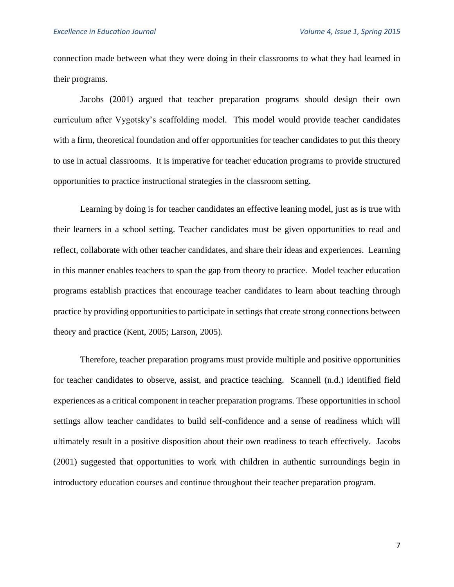connection made between what they were doing in their classrooms to what they had learned in their programs.

Jacobs (2001) argued that teacher preparation programs should design their own curriculum after Vygotsky's scaffolding model. This model would provide teacher candidates with a firm, theoretical foundation and offer opportunities for teacher candidates to put this theory to use in actual classrooms. It is imperative for teacher education programs to provide structured opportunities to practice instructional strategies in the classroom setting.

Learning by doing is for teacher candidates an effective leaning model, just as is true with their learners in a school setting. Teacher candidates must be given opportunities to read and reflect, collaborate with other teacher candidates, and share their ideas and experiences. Learning in this manner enables teachers to span the gap from theory to practice. Model teacher education programs establish practices that encourage teacher candidates to learn about teaching through practice by providing opportunities to participate in settings that create strong connections between theory and practice (Kent, 2005; Larson, 2005).

Therefore, teacher preparation programs must provide multiple and positive opportunities for teacher candidates to observe, assist, and practice teaching. Scannell (n.d.) identified field experiences as a critical component in teacher preparation programs. These opportunities in school settings allow teacher candidates to build self-confidence and a sense of readiness which will ultimately result in a positive disposition about their own readiness to teach effectively. Jacobs (2001) suggested that opportunities to work with children in authentic surroundings begin in introductory education courses and continue throughout their teacher preparation program.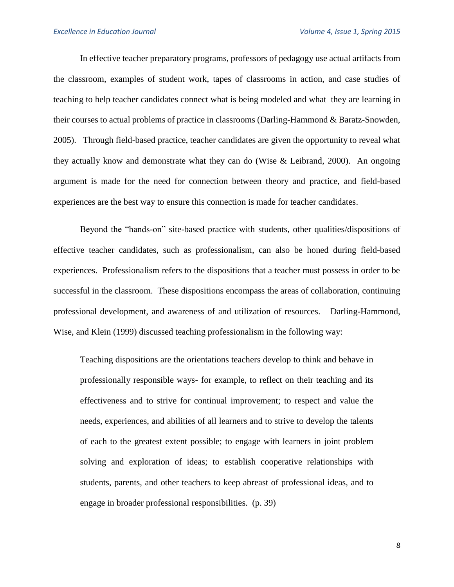In effective teacher preparatory programs, professors of pedagogy use actual artifacts from the classroom, examples of student work, tapes of classrooms in action, and case studies of teaching to help teacher candidates connect what is being modeled and what they are learning in their courses to actual problems of practice in classrooms (Darling-Hammond & Baratz-Snowden, 2005). Through field-based practice, teacher candidates are given the opportunity to reveal what they actually know and demonstrate what they can do (Wise & Leibrand, 2000). An ongoing argument is made for the need for connection between theory and practice, and field-based experiences are the best way to ensure this connection is made for teacher candidates.

Beyond the "hands-on" site-based practice with students, other qualities/dispositions of effective teacher candidates, such as professionalism, can also be honed during field-based experiences. Professionalism refers to the dispositions that a teacher must possess in order to be successful in the classroom. These dispositions encompass the areas of collaboration, continuing professional development, and awareness of and utilization of resources. Darling-Hammond, Wise, and Klein (1999) discussed teaching professionalism in the following way:

Teaching dispositions are the orientations teachers develop to think and behave in professionally responsible ways- for example, to reflect on their teaching and its effectiveness and to strive for continual improvement; to respect and value the needs, experiences, and abilities of all learners and to strive to develop the talents of each to the greatest extent possible; to engage with learners in joint problem solving and exploration of ideas; to establish cooperative relationships with students, parents, and other teachers to keep abreast of professional ideas, and to engage in broader professional responsibilities. (p. 39)

8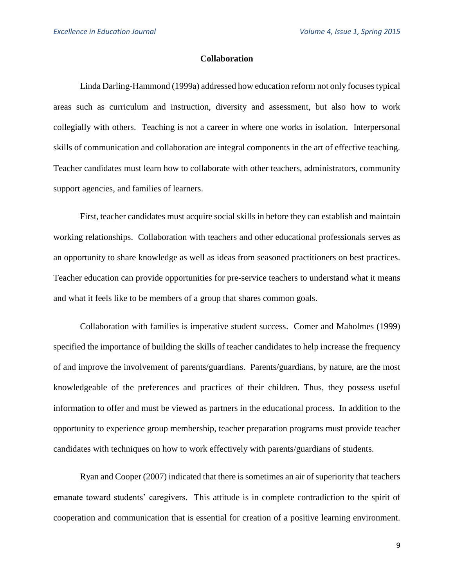### **Collaboration**

Linda Darling-Hammond (1999a) addressed how education reform not only focuses typical areas such as curriculum and instruction, diversity and assessment, but also how to work collegially with others. Teaching is not a career in where one works in isolation. Interpersonal skills of communication and collaboration are integral components in the art of effective teaching. Teacher candidates must learn how to collaborate with other teachers, administrators, community support agencies, and families of learners.

First, teacher candidates must acquire social skills in before they can establish and maintain working relationships. Collaboration with teachers and other educational professionals serves as an opportunity to share knowledge as well as ideas from seasoned practitioners on best practices. Teacher education can provide opportunities for pre-service teachers to understand what it means and what it feels like to be members of a group that shares common goals.

Collaboration with families is imperative student success. Comer and Maholmes (1999) specified the importance of building the skills of teacher candidates to help increase the frequency of and improve the involvement of parents/guardians. Parents/guardians, by nature, are the most knowledgeable of the preferences and practices of their children. Thus, they possess useful information to offer and must be viewed as partners in the educational process. In addition to the opportunity to experience group membership, teacher preparation programs must provide teacher candidates with techniques on how to work effectively with parents/guardians of students.

Ryan and Cooper (2007) indicated that there is sometimes an air of superiority that teachers emanate toward students' caregivers. This attitude is in complete contradiction to the spirit of cooperation and communication that is essential for creation of a positive learning environment.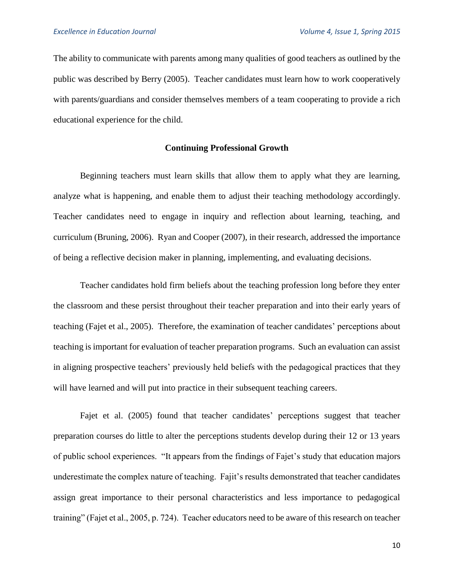The ability to communicate with parents among many qualities of good teachers as outlined by the public was described by Berry (2005). Teacher candidates must learn how to work cooperatively with parents/guardians and consider themselves members of a team cooperating to provide a rich educational experience for the child.

### **Continuing Professional Growth**

Beginning teachers must learn skills that allow them to apply what they are learning, analyze what is happening, and enable them to adjust their teaching methodology accordingly. Teacher candidates need to engage in inquiry and reflection about learning, teaching, and curriculum (Bruning, 2006). Ryan and Cooper (2007), in their research, addressed the importance of being a reflective decision maker in planning, implementing, and evaluating decisions.

Teacher candidates hold firm beliefs about the teaching profession long before they enter the classroom and these persist throughout their teacher preparation and into their early years of teaching (Fajet et al., 2005). Therefore, the examination of teacher candidates' perceptions about teaching is important for evaluation of teacher preparation programs. Such an evaluation can assist in aligning prospective teachers' previously held beliefs with the pedagogical practices that they will have learned and will put into practice in their subsequent teaching careers.

Fajet et al. (2005) found that teacher candidates' perceptions suggest that teacher preparation courses do little to alter the perceptions students develop during their 12 or 13 years of public school experiences. "It appears from the findings of Fajet's study that education majors underestimate the complex nature of teaching. Fajit's results demonstrated that teacher candidates assign great importance to their personal characteristics and less importance to pedagogical training" (Fajet et al., 2005, p. 724). Teacher educators need to be aware of this research on teacher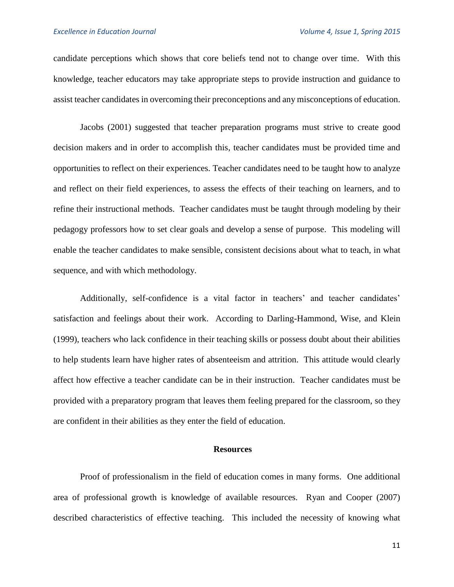candidate perceptions which shows that core beliefs tend not to change over time. With this knowledge, teacher educators may take appropriate steps to provide instruction and guidance to assist teacher candidates in overcoming their preconceptions and any misconceptions of education.

Jacobs (2001) suggested that teacher preparation programs must strive to create good decision makers and in order to accomplish this, teacher candidates must be provided time and opportunities to reflect on their experiences. Teacher candidates need to be taught how to analyze and reflect on their field experiences, to assess the effects of their teaching on learners, and to refine their instructional methods. Teacher candidates must be taught through modeling by their pedagogy professors how to set clear goals and develop a sense of purpose. This modeling will enable the teacher candidates to make sensible, consistent decisions about what to teach, in what sequence, and with which methodology.

Additionally, self-confidence is a vital factor in teachers' and teacher candidates' satisfaction and feelings about their work. According to Darling-Hammond, Wise, and Klein (1999), teachers who lack confidence in their teaching skills or possess doubt about their abilities to help students learn have higher rates of absenteeism and attrition. This attitude would clearly affect how effective a teacher candidate can be in their instruction. Teacher candidates must be provided with a preparatory program that leaves them feeling prepared for the classroom, so they are confident in their abilities as they enter the field of education.

#### **Resources**

Proof of professionalism in the field of education comes in many forms. One additional area of professional growth is knowledge of available resources. Ryan and Cooper (2007) described characteristics of effective teaching. This included the necessity of knowing what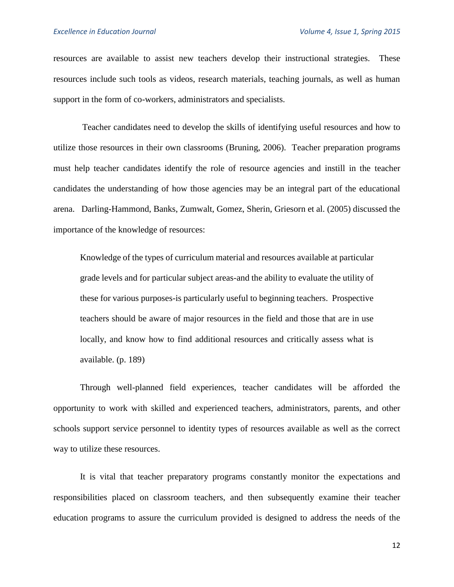resources are available to assist new teachers develop their instructional strategies. These resources include such tools as videos, research materials, teaching journals, as well as human support in the form of co-workers, administrators and specialists.

Teacher candidates need to develop the skills of identifying useful resources and how to utilize those resources in their own classrooms (Bruning, 2006). Teacher preparation programs must help teacher candidates identify the role of resource agencies and instill in the teacher candidates the understanding of how those agencies may be an integral part of the educational arena. Darling-Hammond, Banks, Zumwalt, Gomez, Sherin, Griesorn et al. (2005) discussed the importance of the knowledge of resources:

Knowledge of the types of curriculum material and resources available at particular grade levels and for particular subject areas-and the ability to evaluate the utility of these for various purposes-is particularly useful to beginning teachers. Prospective teachers should be aware of major resources in the field and those that are in use locally, and know how to find additional resources and critically assess what is available. (p. 189)

Through well-planned field experiences, teacher candidates will be afforded the opportunity to work with skilled and experienced teachers, administrators, parents, and other schools support service personnel to identity types of resources available as well as the correct way to utilize these resources.

It is vital that teacher preparatory programs constantly monitor the expectations and responsibilities placed on classroom teachers, and then subsequently examine their teacher education programs to assure the curriculum provided is designed to address the needs of the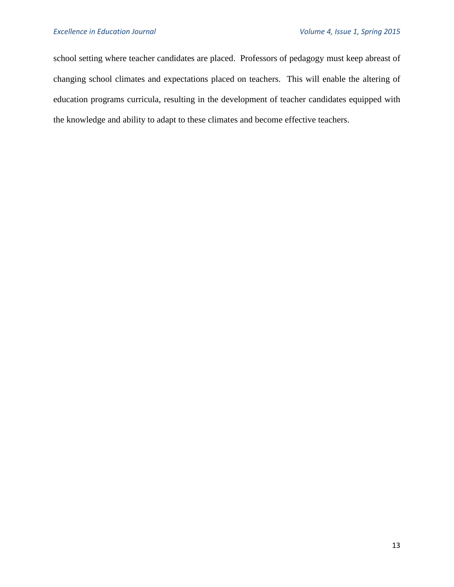school setting where teacher candidates are placed. Professors of pedagogy must keep abreast of changing school climates and expectations placed on teachers. This will enable the altering of education programs curricula, resulting in the development of teacher candidates equipped with the knowledge and ability to adapt to these climates and become effective teachers.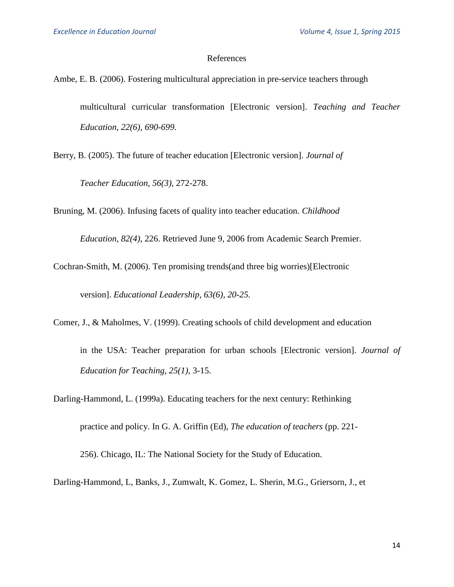### References

- Ambe, E. B. (2006). Fostering multicultural appreciation in pre-service teachers through multicultural curricular transformation [Electronic version]. *Teaching and Teacher Education, 22(6), 690-699.*
- Berry, B. (2005). The future of teacher education [Electronic version]. *Journal of*

*Teacher Education, 56(3),* 272-278.

Bruning, M. (2006). Infusing facets of quality into teacher education. *Childhood* 

*Education, 82(4),* 226. Retrieved June 9, 2006 from Academic Search Premier.

Cochran-Smith, M. (2006). Ten promising trends(and three big worries)[Electronic version]. *Educational Leadership, 63(6), 20-25.*

Comer, J., & Maholmes, V. (1999). Creating schools of child development and education

in the USA: Teacher preparation for urban schools [Electronic version]. *Journal of Education for Teaching, 25(1),* 3-15.

Darling-Hammond, L. (1999a). Educating teachers for the next century: Rethinking

practice and policy. In G. A. Griffin (Ed), *The education of teachers* (pp. 221-

256). Chicago, IL: The National Society for the Study of Education.

Darling-Hammond, L, Banks, J., Zumwalt, K. Gomez, L. Sherin, M.G., Griersorn, J., et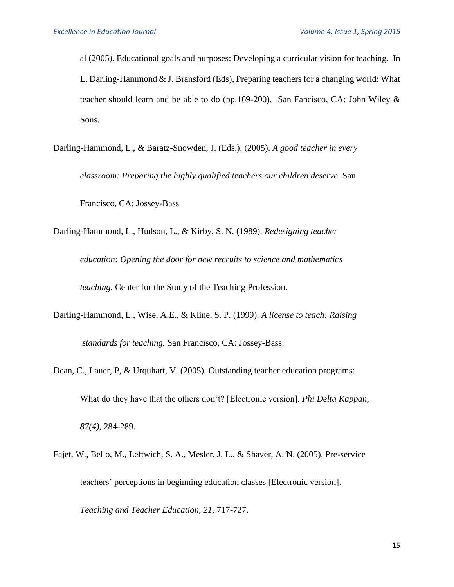al (2005). Educational goals and purposes: Developing a curricular vision for teaching. In L. Darling-Hammond & J. Bransford (Eds), Preparing teachers for a changing world: What teacher should learn and be able to do (pp.169-200). San Fancisco, CA: John Wiley  $\&$ Sons.

Darling-Hammond, L., & Baratz-Snowden, J. (Eds.). (2005). *A good teacher in every* 

*classroom: Preparing the highly qualified teachers our children deserve*. San

Francisco, CA: Jossey-Bass

Darling-Hammond, L., Hudson, L., & Kirby, S. N. (1989). *Redesigning teacher* 

*education: Opening the door for new recruits to science and mathematics* 

*teaching.* Center for the Study of the Teaching Profession.

- Darling-Hammond, L., Wise, A.E., & Kline, S. P. (1999). *A license to teach: Raising standards for teaching.* San Francisco, CA: Jossey-Bass.
- Dean, C., Lauer, P, & Urquhart, V. (2005). Outstanding teacher education programs: What do they have that the others don't? [Electronic version]. *Phi Delta Kappan, 87(4),* 284-289.
- Fajet, W., Bello, M., Leftwich, S. A., Mesler, J. L., & Shaver, A. N. (2005). Pre-service teachers' perceptions in beginning education classes [Electronic version].

*Teaching and Teacher Education, 21,* 717-727.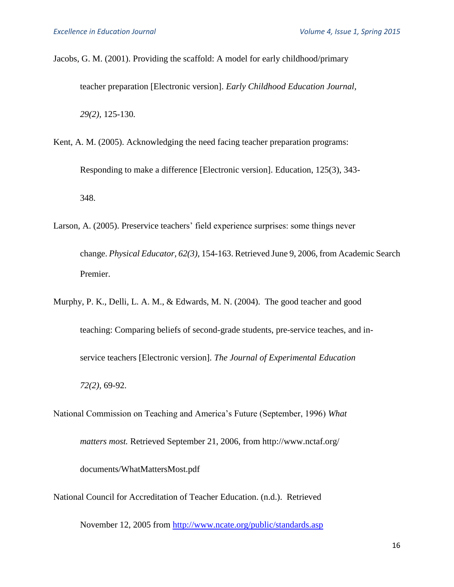Jacobs, G. M. (2001). Providing the scaffold: A model for early childhood/primary teacher preparation [Electronic version]. *Early Childhood Education Journal, 29(2),* 125-130*.*

- Kent, A. M. (2005). Acknowledging the need facing teacher preparation programs: Responding to make a difference [Electronic version]. Education, 125(3), 343- 348.
- Larson, A. (2005). Preservice teachers' field experience surprises: some things never change. *Physical Educator, 62(3),* 154-163. Retrieved June 9, 2006, from Academic Search Premier.
- Murphy, P. K., Delli, L. A. M., & Edwards, M. N. (2004). The good teacher and good teaching: Comparing beliefs of second-grade students, pre-service teaches, and inservice teachers [Electronic version]*. The Journal of Experimental Education 72(2),* 69-92.
- National Commission on Teaching and America's Future (September, 1996) *What*

*matters most.* Retrieved September 21, 2006, from http://www.nctaf.org/

documents/WhatMattersMost.pdf

National Council for Accreditation of Teacher Education. (n.d.). Retrieved

November 12, 2005 from<http://www.ncate.org/public/standards.asp>